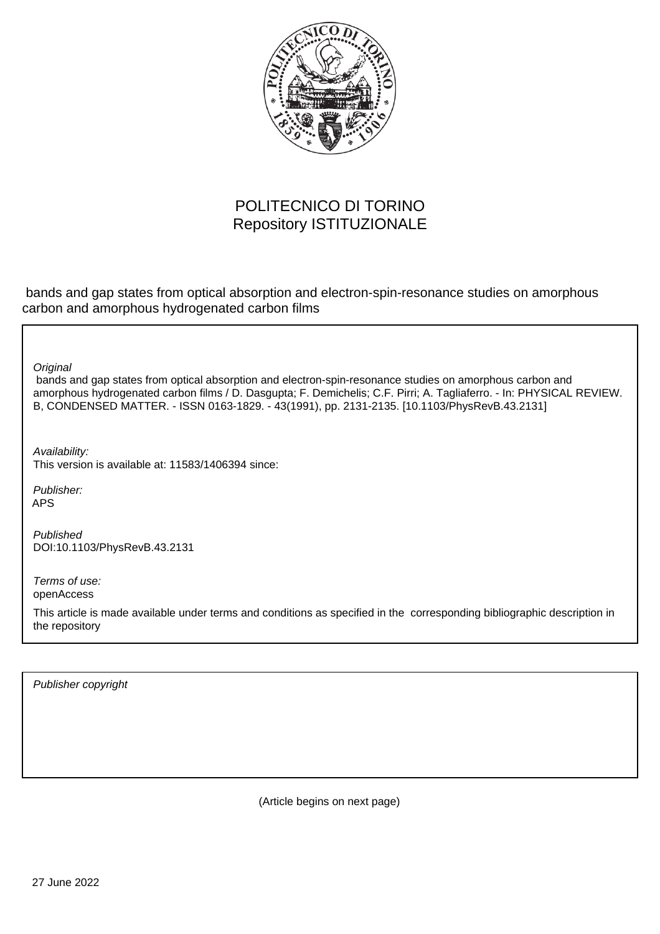

# POLITECNICO DI TORINO Repository ISTITUZIONALE

 bands and gap states from optical absorption and electron-spin-resonance studies on amorphous carbon and amorphous hydrogenated carbon films

**Original** 

 bands and gap states from optical absorption and electron-spin-resonance studies on amorphous carbon and amorphous hydrogenated carbon films / D. Dasgupta; F. Demichelis; C.F. Pirri; A. Tagliaferro. - In: PHYSICAL REVIEW. B, CONDENSED MATTER. - ISSN 0163-1829. - 43(1991), pp. 2131-2135. [10.1103/PhysRevB.43.2131]

Availability: This version is available at: 11583/1406394 since:

Publisher: APS

Published DOI:10.1103/PhysRevB.43.2131

Terms of use: openAccess

This article is made available under terms and conditions as specified in the corresponding bibliographic description in the repository

Publisher copyright

(Article begins on next page)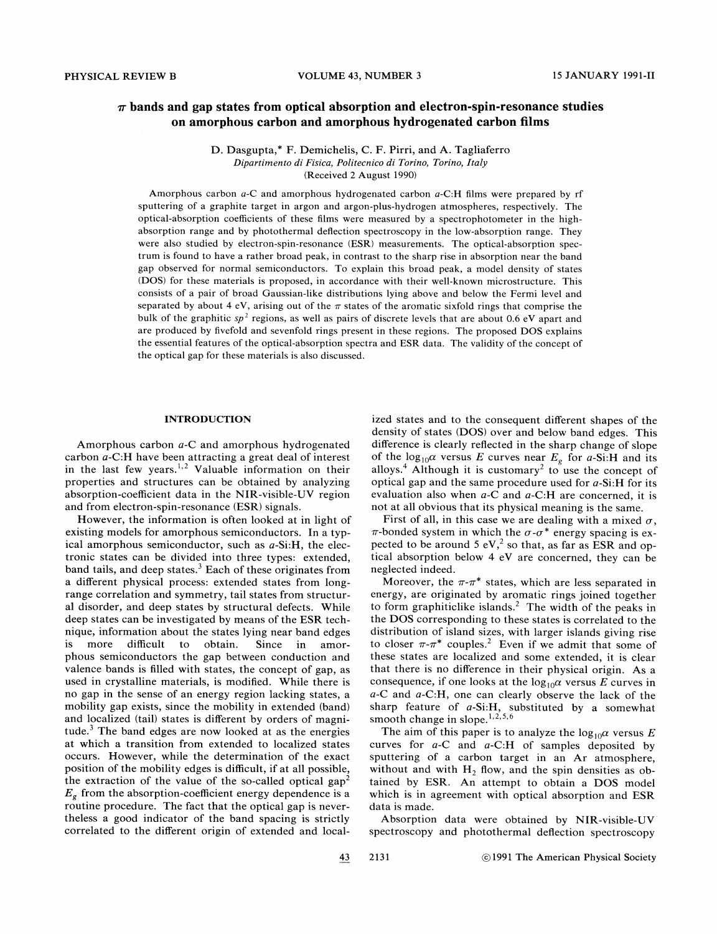# $\pi$  bands and gap states from optical absorption and electron-spin-resonance studies on amorphous carbon and amorphous hydrogenated carbon films

D. Dasgupta,\* F. Demichelis, C. F. Pirri, and A. Tagliaferro Dipartimento di Fisica, Politecnico di Torino, Torino, Italy (Received 2 August 1990)

Amorphous carbon a-C and amorphous hydrogenated carbon a-C:H films were prepared by rf sputtering of a graphite target in argon and argon-plus-hydrogen atmospheres, respectively. The optical-absorption coefficients of these films were measured by a spectrophotometer in the highabsorption range and by photothermal deflection spectroscopy in the low-absorption range. They were also studied by electron-spin-resonance (ESR) measurements. The optical-absorption spectrum is found to have a rather broad peak, in contrast to the sharp rise in absorption near the band gap observed for normal semiconductors. To explain this broad peak, a model density of states (DOS) for these materials is proposed, in accordance with their well-known microstructure. This consists of a pair of broad Gaussian-like distributions lying above and below the Fermi level and separated by about 4 eV, arising out of the  $\pi$  states of the aromatic sixfold rings that comprise the bulk of the graphitic sp<sup>2</sup> regions, as well as pairs of discrete levels that are about 0.6 eV apart and are produced by fivefold and sevenfold rings present in these regions. The proposed DOS explains the essential features of the optical-absorption spectra and ESR data. The validity of the concept of the optical gap for these materials is also discussed.

#### INTRODUCTION

Amorphous carbon a-C and amorphous hydrogenated carbon a-C:H have been attracting a great deal of interest in the last few years. Valuable information on their properties and structures can be obtained by analyzing absorption-coefficient data in the NIR-visible-UV region and from electron-spin-resonance (ESR) signals.

However, the information is often looked at in light of existing models for amorphous semiconductors. In a typical amorphous semiconductor, such as a-Si:H, the electronic states can be divided into three types: extended, band tails, and deep states.<sup>3</sup> Each of these originates from a different physical process: extended states from longrange correlation and symmetry, tail states from structural disorder, and deep states by structural defects. While deep states can be investigated by means of the ESR technique, information about the states lying near band edges is more difficult to obtain. Since in amorphous semiconductors the gap between conduction and valence bands is filled with states, the concept of gap, as used in crystalline materials, is modified. While there is no gap in the sense of an energy region lacking states, a mobility gap exists, since the mobility in extended (band) and localized (tail) states is different by orders of magnitude.<sup>3</sup> The band edges are now looked at as the energies at which a transition from extended to localized states occurs. However, while the determination of the exact position of the mobility edges is difficult, if at all possible, the extraction of the value of the so-called optical gap<sup>2</sup>  $E<sub>g</sub>$  from the absorption-coefficient energy dependence is a routine procedure. The fact that the optical gap is nevertheless a good indicator of the band spacing is strictly correlated to the different origin of extended and localized states and to the consequent different shapes of the density of states (DOS) over and below band edges. This difference is clearly reflected in the sharp change of slope of the  $log_{10} \alpha$  versus E curves near  $E_g$  for a-Si:H and its alloys.<sup>4</sup> Although it is customary<sup>2</sup> to use the concept of optical gap and the same procedure used for a-Si:H for its evaluation also when  $a$ -C and  $a$ -C:H are concerned, it is not at all obvious that its physical meaning is the same.

First of all, in this case we are dealing with a mixed  $\sigma$ ,  $\pi$ -bonded system in which the  $\sigma$ - $\sigma$ <sup>\*</sup> energy spacing is expected to be around 5 eV,<sup>2</sup> so that, as far as ESR and optical absorption below 4 eV are concerned, they can be neglected indeed.

Moreover, the  $\pi$ - $\pi$ <sup>\*</sup> states, which are less separated in energy, are originated by aromatic rings joined together to form graphiticlike islands.<sup>2</sup> The width of the peaks in the DOS corresponding to these states is correlated to the distribution of island sizes, with larger islands giving rise to closer  $\pi$ - $\pi$ <sup>\*</sup> couples.<sup>2</sup> Even if we admit that some of these states are localized and some extended, it is clear that there is no difference in their physical origin. As a consequence, if one looks at the  $log_{10} \alpha$  versus E curves in a-C and a-C:H, one can clearly observe the lack of the sharp feature of  $a-Si:H$ , substituted by a somewhat smooth change in slope.  $\frac{1}{2}$ ,  $\frac{2}{5}$ ,  $\frac{6}{5}$ 

The aim of this paper is to analyze the  $\log_{10} \alpha$  versus E curves for  $a$ -C and  $a$ -C:H of samples deposited by sputtering of a carbon target in an Ar atmosphere, without and with  $H_2$  flow, and the spin densities as obtained by ESR. An attempt to obtain a DOS model which is in agreement with optical absorption and ESR data is made.

Absorption data were obtained by NIR-visible-UV spectroscopy and photothermal deflection spectroscopy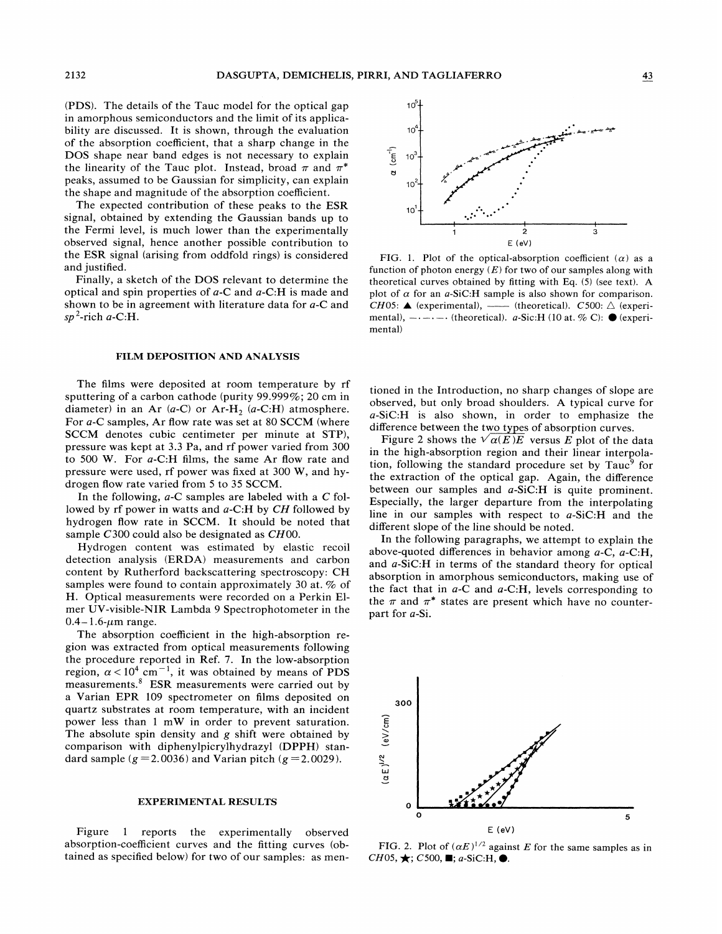(PDS). The details of the Tauc model for the optical gap in amorphous semiconductors and the limit of its applicability are discussed. It is shown, through the evaluation of the absorption coefficient, that a sharp change in the DOS shape near band edges is not necessary to explain the linearity of the Tauc plot. Instead, broad  $\pi$  and  $\pi^*$ peaks, assumed to be Gaussian for simplicity, can explain the shape and magnitude of the absorption coefficient.

The expected contribution of these peaks to the ESR signal, obtained by extending the Gaussian bands up to the Fermi level, is much lower than the experimentally observed signal, hence another possible contribution to the ESR signal (arising from oddfold rings) is considered and justified.

Finally, a sketch of the DOS relevant to determine the optical and spin properties of  $a$ -C and  $a$ -C:H is made and shown to be in agreement with literature data for a-C and  $sp^2$ -rich a-C:H.

# FILM DEPOSITION AND ANALYSIS

The films were deposited at room temperature by rf sputtering of a carbon cathode (purity 99.999%; 20 cm in diameter) in an Ar  $(a-C)$  or Ar-H<sub>2</sub>  $(a-C:H)$  atmosphere. For a-C samples, Ar fiow rate was set at 80 SCCM (where SCCM denotes cubic centimeter per minute at STP), pressure was kept at 3.3 Pa, and rf power varied from 300 to 500 W. For a-C:H films, the same Ar flow rate and pressure were used, rf power was fixed at 300 W, and hydrogen flow rate varied from 5 to 35 SCCM.

In the following,  $a$ -C samples are labeled with a C followed by rf power in watts and a-C:H by CH followed by hydrogen flow rate in SCCM. It should be noted that sample C300 could also be designated as CH00.

Hydrogen content was estimated by elastic recoil detection analysis (ERDA) measurements and carbon content by Rutherford backscattering spectroscopy: CH samples were found to contain approximately 30 at. % of H. Optical measurements were recorded on a Perkin Elmer UV-visible-NIR Lambda 9 Spectrophotometer in the  $0.4 - 1.6$ - $\mu$ m range.

The absorption coefficient in the high-absorption region was extracted from optical measurements following the procedure reported in Ref. 7. In the low-absorption region,  $\alpha < 10^4$  cm<sup>-1</sup>, it was obtained by means of PDS measurements.<sup>8</sup> ESR measurements were carried out by a Varian EPR 109 spectrometer on films deposited on quartz substrates at room temperature, with an incident power less than <sup>1</sup> mW in order to prevent saturation. The absolute spin density and g shift were obtained by comparison with diphenylpicrylhydrazyl (DPPH) standard sample ( $g = 2.0036$ ) and Varian pitch ( $g = 2.0029$ ).

#### EXPERIMENTAL RESULTS

Figure <sup>1</sup> reports the experimentally observed absorption-coefficient curves and the fitting curves (obtained as specified below) for two of our samples: as men-



FIG. 1. Plot of the optical-absorption coefficient  $(\alpha)$  as a function of photon energy  $(E)$  for two of our samples along with theoretical curves obtained by fitting with Eq. (5) (see text). A plot of  $\alpha$  for an *a*-SiC:H sample is also shown for comparison. CH05:  $\triangle$  (experimental), — (theoretical). C500:  $\triangle$  (experimental),  $-\cdots$  (theoretical). a-Sic:H (10 at. % C):  $\bullet$  (experimental)

tioned in the Introduction, no sharp changes of slope are observed, but only broad shoulders. A typical curve for a-SiC:H is also shown, in order to emphasize the difference between the two types of absorption curves.

Figure 2 shows the  $\sqrt{\alpha(E)E}$  versus E plot of the data in the high-absorption region and their linear interpolation, following the standard procedure set by  $T$ auc<sup>9</sup> for the extraction of the optical gap. Again, the difference between our samples and a-SiC:H is quite prominent. Especially, the larger departure from the interpolating line in our samples with respect to a-SiC:H and the different slope of the line should be noted.

In the following paragraphs, we attempt to explain the above-quoted differences in behavior among  $a-C$ ,  $a-C:H$ , and a-SiC:H in terms of the standard theory for optical absorption in amorphous semiconductors, making use of the fact that in  $a$ -C and  $a$ -C:H, levels corresponding to the  $\pi$  and  $\pi^*$  states are present which have no counterpart for a-Si.



FIG. 2. Plot of  $(\alpha E)^{1/2}$  against E for the same samples as in  $CH05, \bigstar$ ; C500,  $\blacksquare$ ; a-SiC:H,  $\spadesuit$ .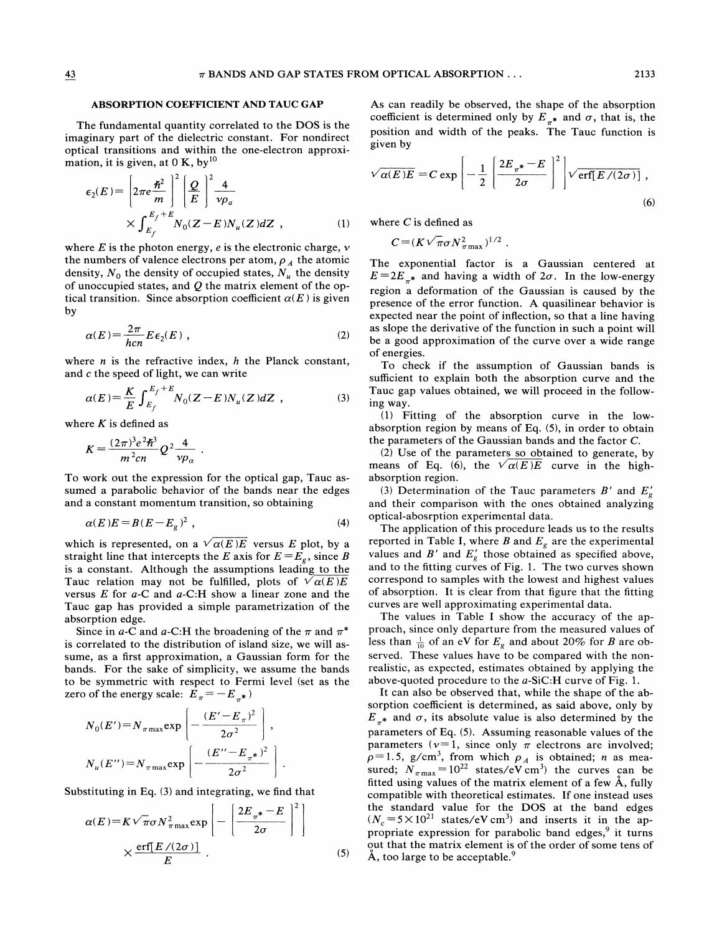### ABSORPTION COEFFICIENT AND TAUC GAP

The fundamental quantity correlated to the DOS is the imaginary part of the dielectric constant. For nondirect optical transitions and within the one-electron approximation, it is given, at  $0 K$ , by<sup>10</sup>

$$
\epsilon_2(E) = \left[2\pi e \frac{\hbar^2}{m}\right]^2 \left[\frac{Q}{E}\right]^2 \frac{4}{\nu \rho_a}
$$
  
 
$$
\times \int_{E_f}^{E_f+E} N_0(Z-E) N_u(Z) dZ , \qquad (1)
$$

where  $E$  is the photon energy,  $e$  is the electronic charge,  $v$ the numbers of valence electrons per atom,  $\rho_A^{}$  the atomic density,  $N_0$  the density of occupied states,  $N_u$  the density of unoccupied states, and  $Q$  the matrix element of the optical transition. Since absorption coefficient  $\alpha(E)$  is given by

$$
\alpha(E) = \frac{2\pi}{hcn} E \epsilon_2(E) , \qquad (2)
$$

where  $n$  is the refractive index,  $h$  the Planck constant, and c the speed of light, we can write

$$
\alpha(E) = \frac{K}{E} \int_{E_f}^{E_f + E} N_0(Z - E) N_u(Z) dZ , \qquad (3)
$$

where  $K$  is defined as

$$
K = \frac{(2\pi)^3 e^2 \hbar^3}{m^2 c n} Q^2 \frac{4}{\nu \rho_\alpha} \; .
$$

To work out the expression for the optical gap, Tauc assumed a parabolic behavior of the bands near the edges<br>and a constant momentum transition, so obtaining<br> $\alpha(E)E = B(E - E_g)^2$ , (4) and a constant momentum transition, so obtaining

$$
\alpha(E)E = B(E - Ee)2,
$$
\n(4)

which is represented, on a  $\sqrt{\alpha(E)E}$  versus E plot, by a straight line that intercepts the E axis for  $E=E<sub>e</sub>$ , since B is a constant. Although the assumptions leading to the Tauc relation may not be fulfilled, plots of  $\sqrt{\alpha(E)E}$ versus  $E$  for  $a$ -C and  $a$ -C:H show a linear zone and the Tauc gap has provided a simple parametrization of the absorption edge.

Since in a-C and a-C:H the broadening of the  $\pi$  and  $\pi^*$ is correlated to the distribution of island size, we will assume, as a first approximation, a Gaussian form for the bands. For the sake of simplicity, we assume the bands to be symmetric with respect to Fermi level (set as the zero of the energy scale:  $E_{\pi} = -E_{\pi^*}$ and size, we will as-<br>
ussian form for the<br>
e assume the bands<br>
mi level (set as the<br>
e

$$
N_0(E') = N_{\pi \max} \exp \left[ -\frac{(E' - E_{\pi})^2}{2\sigma^2} \right],
$$
  

$$
N_u(E'') = N_{\pi \max} \exp \left[ -\frac{(E'' - E_{\pi^*})^2}{2\sigma^2} \right].
$$

Substituting in Eq. (3) and integrating, we find that

$$
\alpha(E) = K \sqrt{\pi} \sigma N_{\pi \max}^2 \exp\left[-\left(\frac{2E_{\pi^*} - E}{2\sigma}\right)^2\right]
$$

$$
\times \frac{\text{erf}[E/(2\sigma)]}{E} .
$$
 (5)

As can readily be observed, the shape of the absorption coefficient is determined only by  $E_{\pi^*}$  and  $\sigma$ , that is, the position and width of the peaks. The Tauc function is given by

$$
\sqrt{\alpha(E)E} = C \exp\left[-\frac{1}{2}\left[\frac{2E_{\pi^*} - E}{2\sigma}\right]^2\right] \sqrt{\text{erf}[E/(2\sigma)]},\tag{6}
$$

where  $C$  is defined as

$$
C = (K\sqrt{\pi}\sigma N_{\pi \max}^2)^{1/2}.
$$

The exponential factor is a Gaussian centered at  $E=2E_{\pi^*}$  and having a width of  $2\sigma$ . In the low-energy region a deformation of the Gaussian is caused by the presence of the error function. A quasilinear behavior is expected near the point of inflection, so that a line having as slope the derivative of the function in such a point will be a good approximation of the curve over a wide range of energies.

To check if the assumption of Gaussian bands is sufficient to explain both the absorption curve and the Tauc gap values obtained, we will proceed in the following way.

(1) Fitting of the absorption curve in the lowabsorption region by means of Eq. (5), in order to obtain the parameters of the Gaussian bands and the factor C.

(2) Use of the parameters so obtained to generate, by means of Eq. (6), the  $\sqrt{\alpha(E)E}$  curve in the highabsorption region.

(3) Determination of the Tauc parameters  $B'$  and  $E'_{g}$ and their comparison with the ones obtained analyzing optical-abosrption experimental data.

The application of this procedure leads us to the results reported in Table I, where B and  $E_g$  are the experimenta values and  $B'$  and  $E'_{g}$  those obtained as specified above, and to the fitting curves of Fig. 1. The two curves shown correspond to samples with the lowest and highest values of absorption. It is clear from that figure that the fitting curves are well approximating experimental data.

The values in Table I show the accuracy of the approach, since only departure from the measured values of ess than  $\frac{1}{10}$  of an eV for  $E_g$  and about 20% for B are observed. These values have to be compared with the nonrealistic, as expected, estimates obtained by applying the above-quoted procedure to the a-SiC:H curve of Fig. 1.

It can also be observed that, while the shape of the absorption coefficient is determined, as said above, only by  $E_{\pi^*}$  and  $\sigma$ , its absolute value is also determined by the parameters of Fq. (5). Assuming reasonable values of the parameters ( $v=1$ , since only  $\pi$  electrons are involved;  $p=1.5$ , g/cm<sup>3</sup>, from which  $\rho_A$  is obtained; *n* as measured;  $N_{\pi \text{max}} = 10^{22}$  states/eV cm<sup>3</sup>) the curves can be fitted using values of the matrix element of a few A, fully compatible with theoretical estimates. If one instead uses the standard value for the DOS at the band edges  $N_c = 5 \times 10^{21}$  states/eV cm<sup>3</sup>) and inserts it in the appropriate expression for parabolic band edges,<sup>9</sup> it turns out that the matrix element is of the order of some tens of  $\AA$ , too large to be acceptable.<sup>9</sup>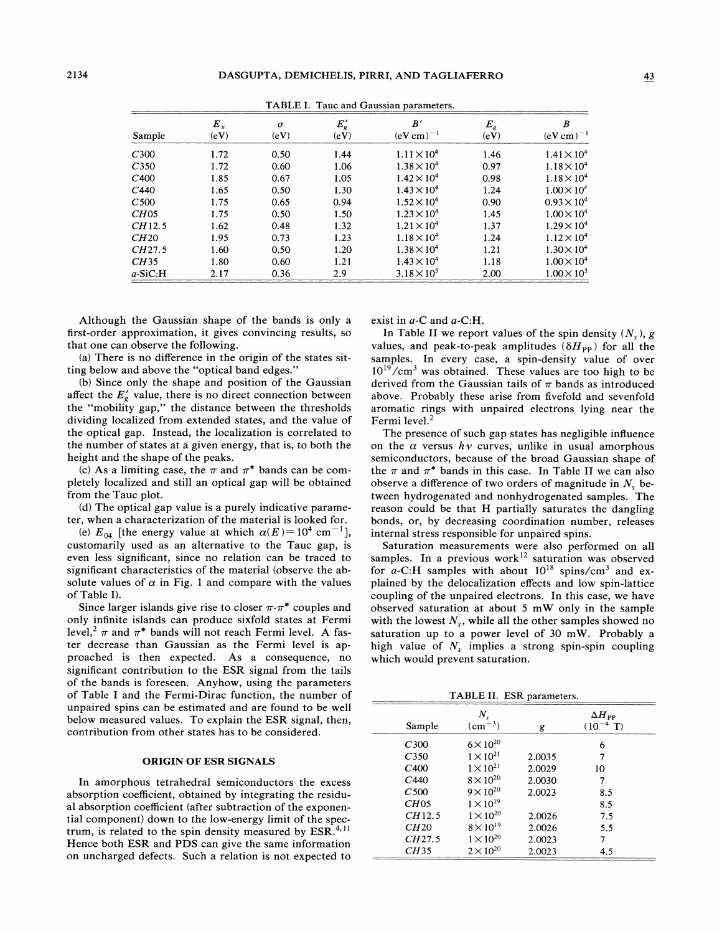| Sample           | $E_{\pi}$<br>(eV) | $\sigma$<br>(eV) | $E'_{g}$<br>(eV) | B'<br>$(eV cm)^{-1}$ | $E_{g}$<br>(eV) | B<br>$(eV cm)^{-1}$  |  |
|------------------|-------------------|------------------|------------------|----------------------|-----------------|----------------------|--|
| C <sub>300</sub> | 1.72              | 0.50             | 1.44             | $1.11 \times 10^4$   | 1.46            | $1.41 \times 10^{4}$ |  |
| C <sub>350</sub> | 1.72              | 0.60             | 1.06             | $1.38 \times 10^{4}$ | 0.97            | $1.18 \times 10^{4}$ |  |
| C400             | 1.85              | 0.67             | 1.05             | $1.42 \times 10^{4}$ | 0.98            | $1.18 \times 10^{4}$ |  |
| C <sub>440</sub> | 1.65              | 0.50             | 1.30             | $1.43 \times 10^{4}$ | 1.24            | $1.00 \times 10^{4}$ |  |
| C <sub>500</sub> | 1.75              | 0.65             | 0.94             | $1.52 \times 10^4$   | 0.90            | $0.93 \times 10^{4}$ |  |
| CH05             | 1.75              | 0.50             | 1.50             | $1.23 \times 10^4$   | 1.45            | $1.00 \times 10^{4}$ |  |
| CH12.5           | 1.62              | 0.48             | 1.32             | $1.21 \times 10^4$   | 1.37            | $1.29 \times 10^{4}$ |  |
| CH20             | 1.95              | 0.73             | 1.23             | $1.18 \times 10^{4}$ | 1.24            | $1.12 \times 10^4$   |  |
| CH27.5           | 1.60              | 0.50             | 1.20             | $1.38 \times 10^{4}$ | 1.21            | $1.30 \times 10^4$   |  |
| CH35             | 1.80              | 0.60             | 1.21             | $1.43 \times 10^{4}$ | 1.18            | $1.00 \times 10^{4}$ |  |
| $a-SiCiH$        | 2.17              | 0.36             | 2.9              | $3.18 \times 10^{5}$ | 2.00            | $1.00 \times 10^{5}$ |  |

TABLE I. Tauc and Gaussian parameters.

Although the Gaussian shape of the bands is only a first-order approximation, it gives convincing results, so that one can observe the fo11owing.

(a) There is no difference in the origin of the states sitting below and above the "optical band edges. "

(b) Since only the shape and position of the Gaussian affect the  $E'_g$  value, there is no direct connection between affect the  $E_g$  value, there is no direct connection betwees<br>the "mobility gap," the distance between the threshold dividing localized from extended states, and the value of the optical gap. Instead, the localization is correlated to the number of states at a given energy, that is, to both the height and the shape of the peaks.

(c) As a limiting case, the  $\pi$  and  $\pi^*$  bands can be completely localized and still an optical gap will be obtained from the Tauc plot.

(d) The optical gap value is a purely indicative parameter, when a characterization of the material is looked for.

(e)  $E_{04}$  [the energy value at which  $\alpha(E) = 10^4$  cm<sup>-1</sup>], customarily used as an alternative to the Tauc gap, is even less significant, since no relation can be traced to significant characteristics of the material (observe the absolute values of  $\alpha$  in Fig. 1 and compare with the values of Table I).

Since larger islands give rise to closer  $\pi$ - $\pi$ <sup>\*</sup> couples and only infinite islands can produce sixfold states at Fermi level,  $\pi$  and  $\pi^*$  bands will not reach Fermi level. A faster decrease than Gaussian as the Fermi level is approached is then expected. As a consequence, no significant contribution to the ESR signal from the tails of the bands is foreseen. Anyhow, using the parameters of Table I and the Fermi-Dirac function, the number of unpaired spins can be estimated and are found to be well below measured values. To explain the ESR signal, then, contribution from other states has to be considered.

## ORIGIN OF ESR SIGNALS

In amorphous tetrahedral semiconductors the excess absorption coefficient, obtained by integrating the residual absorption coefficient (after subtraction of the exponential component) down to the low-energy limit of the spectrum, is related to the spin density measured by  $ESR^{4,11}$ Hence both ESR and PDS can give the same information on uncharged defects. Such a relation is not expected to exist in a-C and a-C:H.

In Table II we report values of the spin density  $(N_s)$ , g values, and peak-to-peak amplitudes ( $\delta H_{\rm PP}$ ) for all the samples. In every case, a spin-density value of over  $10^{19}$ /cm<sup>3</sup> was obtained. These values are too high to be derived from the Gaussian tails of  $\pi$  bands as introduced above. Probably these arise from fivefold and sevenfold aromatic rings with unpaired electrons lying near the Fermi level.<sup>2</sup>

The presence of such gap states has negligible influence on the  $\alpha$  versus  $h\nu$  curves, unlike in usual amorphous semiconductors, because of the broad Gaussian shape of the  $\pi$  and  $\pi^*$  bands in this case. In Table II we can also observe a difference of two orders of magnitude in  $N<sub>s</sub>$  between hydrogenated and nonhydrogenated samples. The reason could be that H partially saturates the dangling bonds, or, by decreasing coordination number, releases internal stress responsible for unpaired spins.

Saturation measurements were also performed on all samples. In a previous work<sup>12</sup> saturation was observed for a-C:H samples with about  $10^{18}$  spins/cm<sup>3</sup> and explained by the delocalization effects and low spin-lattice coupling of the unpaired electrons. In this case, we have observed saturation at about 5 mW only in the sample with the lowest  $N_s$ , while all the other samples showed no saturation up to a power level of 30 mW. Probably a high value of  $N_s$  implies a strong spin-spin coupling which would prevent saturation.

TABLE II. ESR parameters.

|                  | $N_{\rm s}$        |        | $\Delta H_{\scriptscriptstyle\rm PP}$ |
|------------------|--------------------|--------|---------------------------------------|
| Sample           | $(cm^{-3})$        | g      | $(10^{-4} T)$                         |
| C <sub>300</sub> | $6 \times 10^{20}$ |        | 6                                     |
| C <sub>350</sub> | $1 \times 10^{21}$ | 2.0035 | 7                                     |
| C400             | $1 \times 10^{21}$ | 2.0029 | 10                                    |
| C <sub>440</sub> | $8 \times 10^{20}$ | 2.0030 | 7                                     |
| C500             | $9 \times 10^{20}$ | 2.0023 | 8.5                                   |
| CH05             | $1 \times 10^{19}$ |        | 8.5                                   |
| CH12.5           | $1 \times 10^{20}$ | 2.0026 | 7.5                                   |
| CH20             | $8 \times 10^{19}$ | 2.0026 | 5.5                                   |
| CH27.5           | $1 \times 10^{20}$ | 2.0023 | 7                                     |
| CH35             | $2 \times 10^{20}$ | 2.0023 | 4.5                                   |